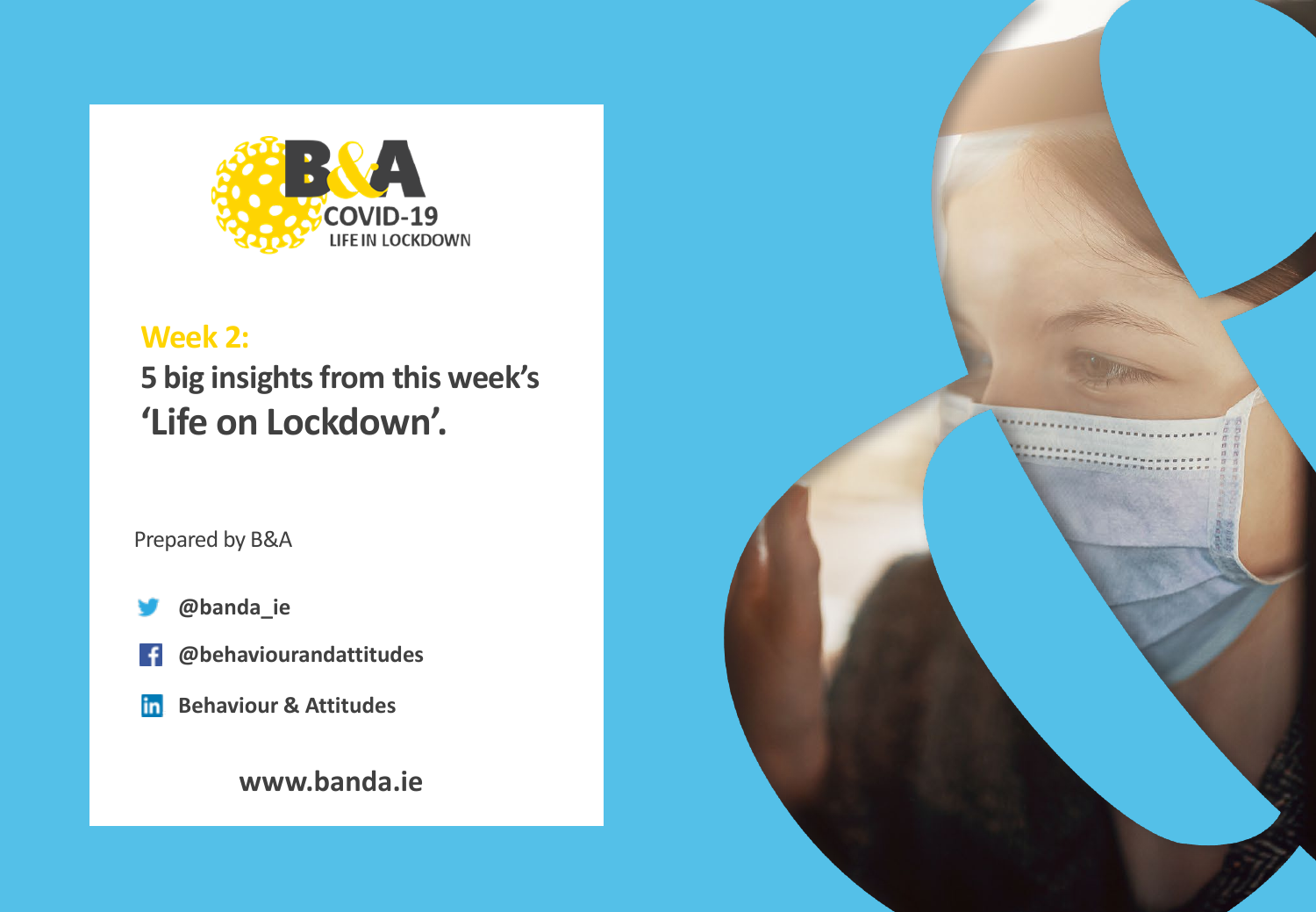

# **Week 2: 5 big insights from this week's 'Life on Lockdown'.**

Prepared by B&A

- **@banda\_ie**
- **@behaviourandattitudes** Ŧ
- **Behaviour & Attitudes**in

# **www.banda.ie**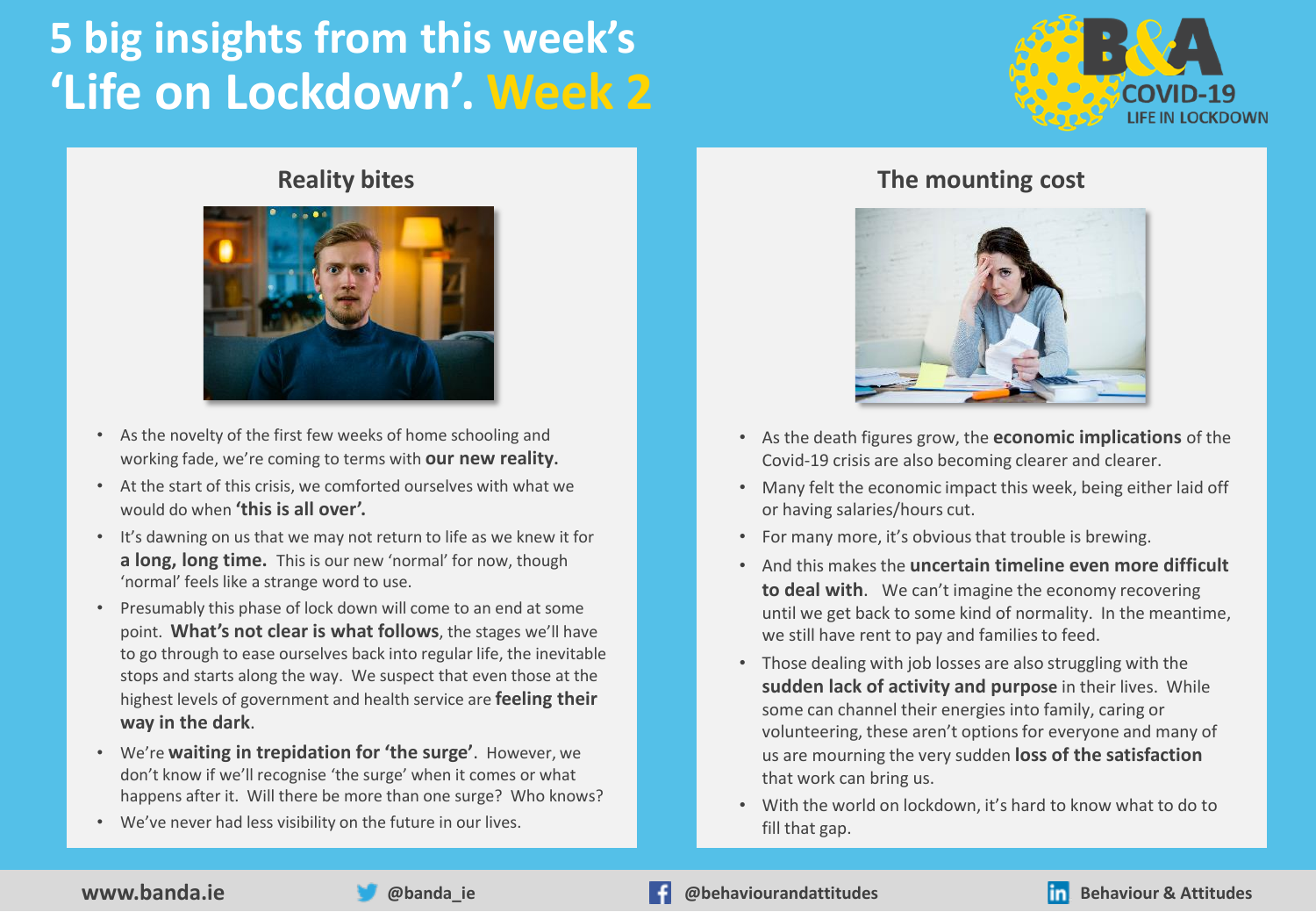# **5 big insights from this week's 'Life on Lockdown'. Week 2**



#### **Reality bites**



- As the novelty of the first few weeks of home schooling and working fade, we're coming to terms with **our new reality.**
- At the start of this crisis, we comforted ourselves with what we would do when **'this is all over'.**
- It's dawning on us that we may not return to life as we knew it for **a long, long time.** This is our new 'normal' for now, though 'normal' feels like a strange word to use.
- Presumably this phase of lock down will come to an end at some point. **What's not clear is what follows**, the stages we'll have to go through to ease ourselves back into regular life, the inevitable stops and starts along the way. We suspect that even those at the highest levels of government and health service are **feeling their way in the dark**.
- We're **waiting in trepidation for 'the surge'**. However, we don't know if we'll recognise 'the surge' when it comes or what happens after it. Will there be more than one surge? Who knows?
- We've never had less visibility on the future in our lives.

#### **The mounting cost**



- As the death figures grow, the **economic implications** of the Covid-19 crisis are also becoming clearer and clearer.
- Many felt the economic impact this week, being either laid off or having salaries/hours cut.
- For many more, it's obvious that trouble is brewing.
- And this makes the **uncertain timeline even more difficult to deal with**. We can't imagine the economy recovering until we get back to some kind of normality. In the meantime, we still have rent to pay and families to feed.
- Those dealing with job losses are also struggling with the **sudden lack of activity and purpose** in their lives. While some can channel their energies into family, caring or volunteering, these aren't options for everyone and many of us are mourning the very sudden **loss of the satisfaction**  that work can bring us.
- With the world on lockdown, it's hard to know what to do to fill that gap.



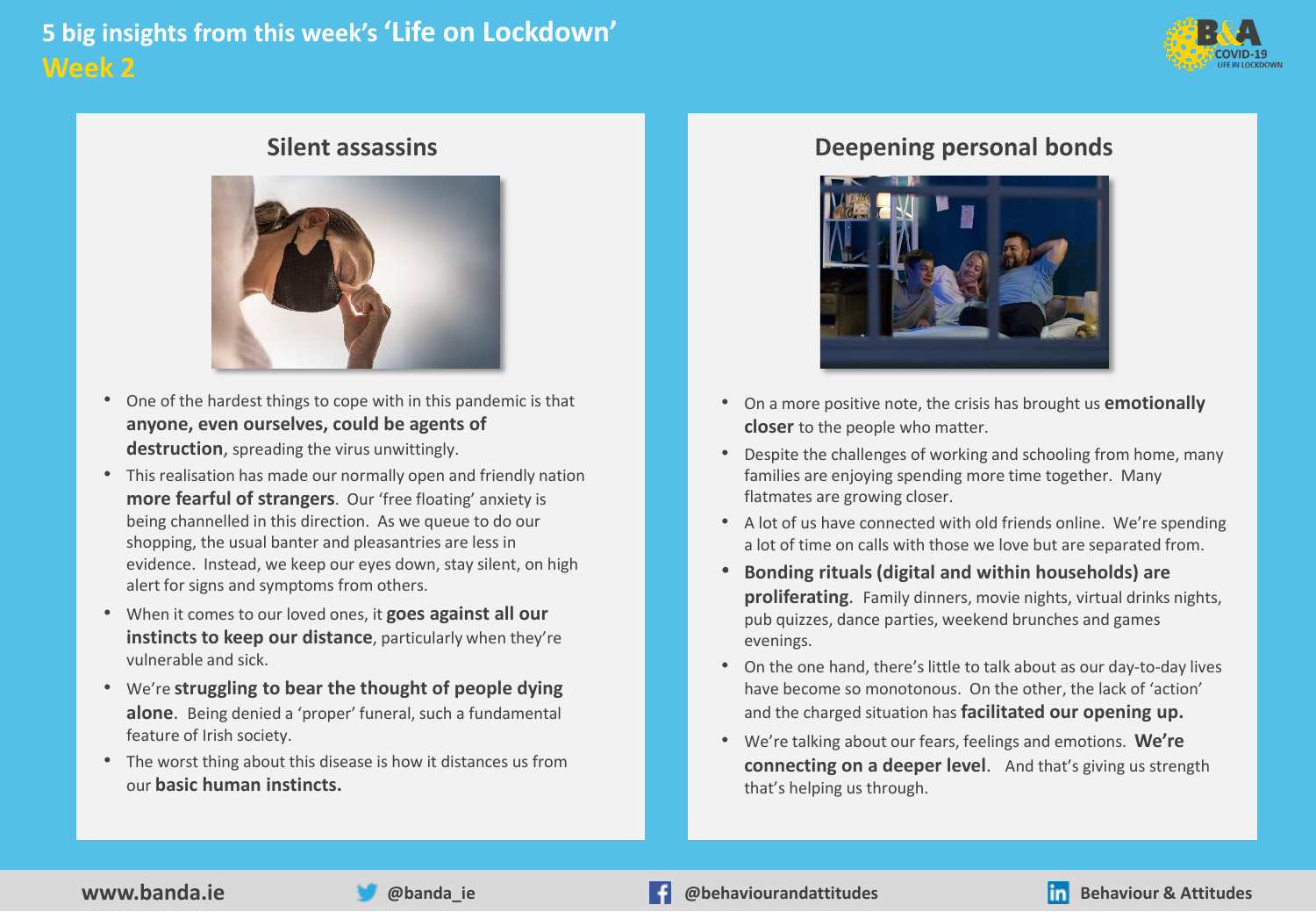# **5 big insights from this week's 'Life on Lockdown' Week 2**



#### **Silent assassins**



- One of the hardest things to cope with in this pandemic is that **anyone, even ourselves, could be agents of destruction**, spreading the virus unwittingly.
- This realisation has made our normally open and friendly nation **more fearful of strangers**. Our 'free floating' anxiety is being channelled in this direction. As we queue to do our shopping, the usual banter and pleasantries are less in evidence. Instead, we keep our eyes down, stay silent, on high alert for signs and symptoms from others.
- When it comes to our loved ones, it **goes against all our instincts to keep our distance**, particularly when they're vulnerable and sick.
- We're **struggling to bear the thought of people dying alone**. Being denied a 'proper' funeral, such a fundamental feature of Irish society.
- The worst thing about this disease is how it distances us from our **basic human instincts.**

### **Deepening personal bonds**



- On a more positive note, the crisis has brought us **emotionally closer** to the people who matter.
- Despite the challenges of working and schooling from home, many families are enjoying spending more time together. Many flatmates are growing closer.
- A lot of us have connected with old friends online. We're spending a lot of time on calls with those we love but are separated from.
- **Bonding rituals (digital and within households) are proliferating**. Family dinners, movie nights, virtual drinks nights, pub quizzes, dance parties, weekend brunches and games evenings.
- On the one hand, there's little to talk about as our day-to-day lives have become so monotonous. On the other, the lack of 'action' and the charged situation has **facilitated our opening up.**
- We're talking about our fears, feelings and emotions. **We're connecting on a deeper level**. And that's giving us strength that's helping us through.

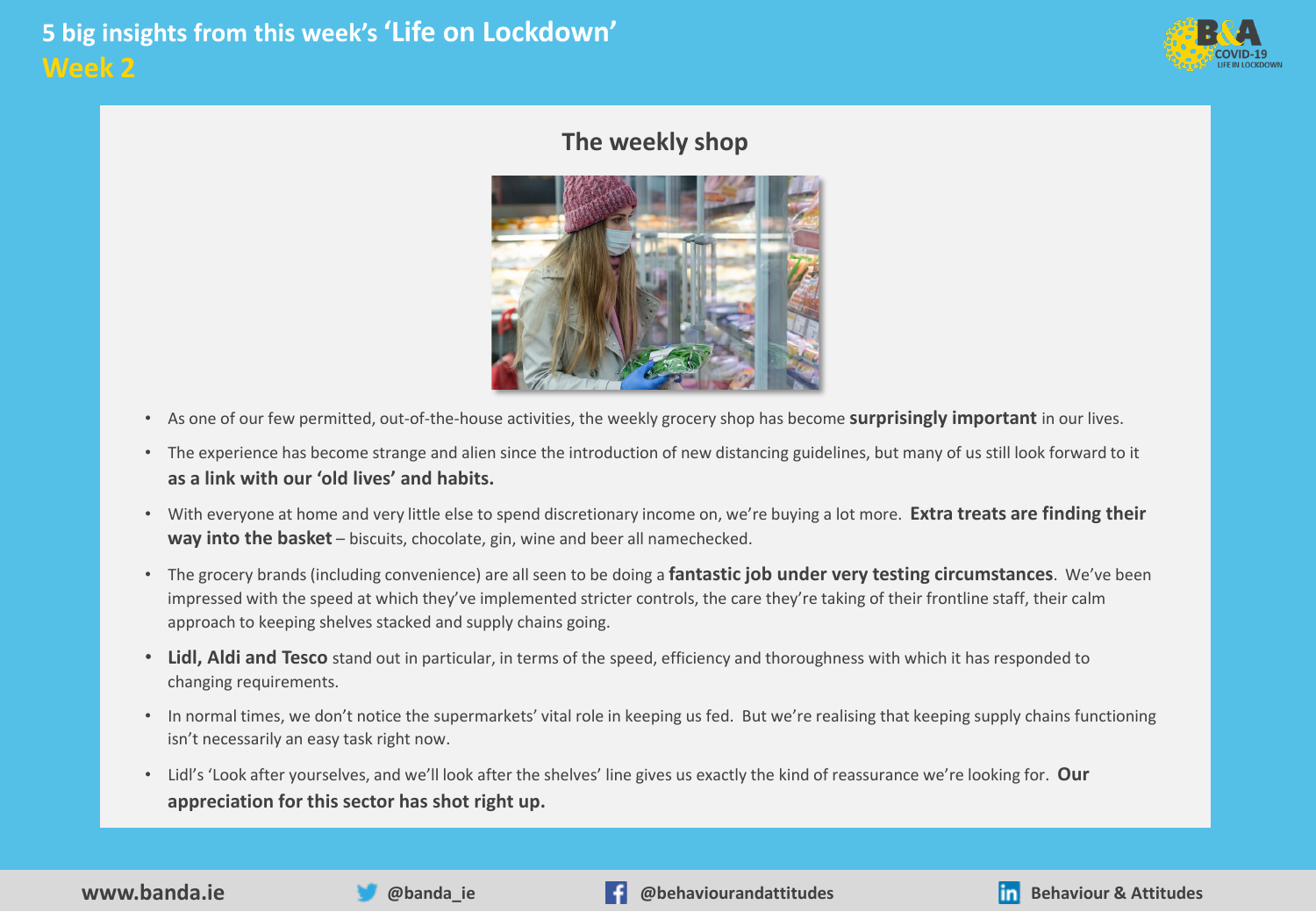

### **The weekly shop**



- As one of our few permitted, out-of-the-house activities, the weekly grocery shop has become **surprisingly important** in our lives.
- The experience has become strange and alien since the introduction of new distancing guidelines, but many of us still look forward to it **as a link with our 'old lives' and habits.**
- With everyone at home and very little else to spend discretionary income on, we're buying a lot more. **Extra treats are finding their way into the basket** – biscuits, chocolate, gin, wine and beer all namechecked.
- The grocery brands (including convenience) are all seen to be doing a **fantastic job under very testing circumstances**. We've been impressed with the speed at which they've implemented stricter controls, the care they're taking of their frontline staff, their calm approach to keeping shelves stacked and supply chains going.
- **Lidl, Aldi and Tesco** stand out in particular, in terms of the speed, efficiency and thoroughness with which it has responded to changing requirements.
- In normal times, we don't notice the supermarkets' vital role in keeping us fed. But we're realising that keeping supply chains functioning isn't necessarily an easy task right now.
- Lidl's 'Look after yourselves, and we'll look after the shelves' line gives us exactly the kind of reassurance we're looking for. **Our appreciation for this sector has shot right up.**